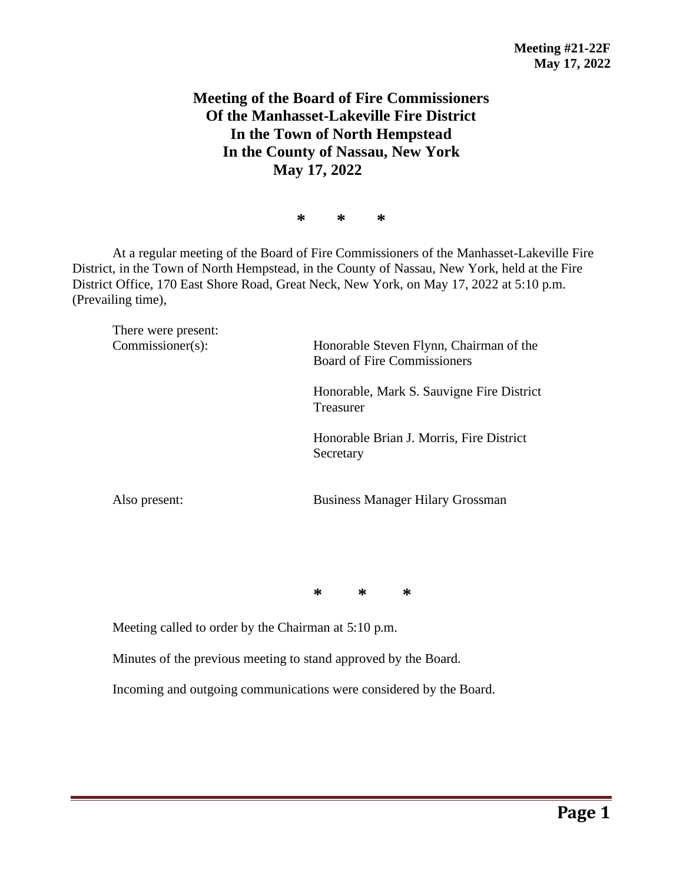## **Meeting of the Board of Fire Commissioners Of the Manhasset-Lakeville Fire District In the Town of North Hempstead In the County of Nassau, New York May 17, 2022**

**\* \* \***

At a regular meeting of the Board of Fire Commissioners of the Manhasset-Lakeville Fire District, in the Town of North Hempstead, in the County of Nassau, New York, held at the Fire District Office, 170 East Shore Road, Great Neck, New York, on May 17, 2022 at 5:10 p.m. (Prevailing time),

There were present: Commissioner(s): Honorable Steven Flynn, Chairman of the Board of Fire Commissioners Honorable, Mark S. Sauvigne Fire District Treasurer Honorable Brian J. Morris, Fire District Secretary Also present: Business Manager Hilary Grossman

**\* \* \***

Meeting called to order by the Chairman at 5:10 p.m.

Minutes of the previous meeting to stand approved by the Board.

Incoming and outgoing communications were considered by the Board.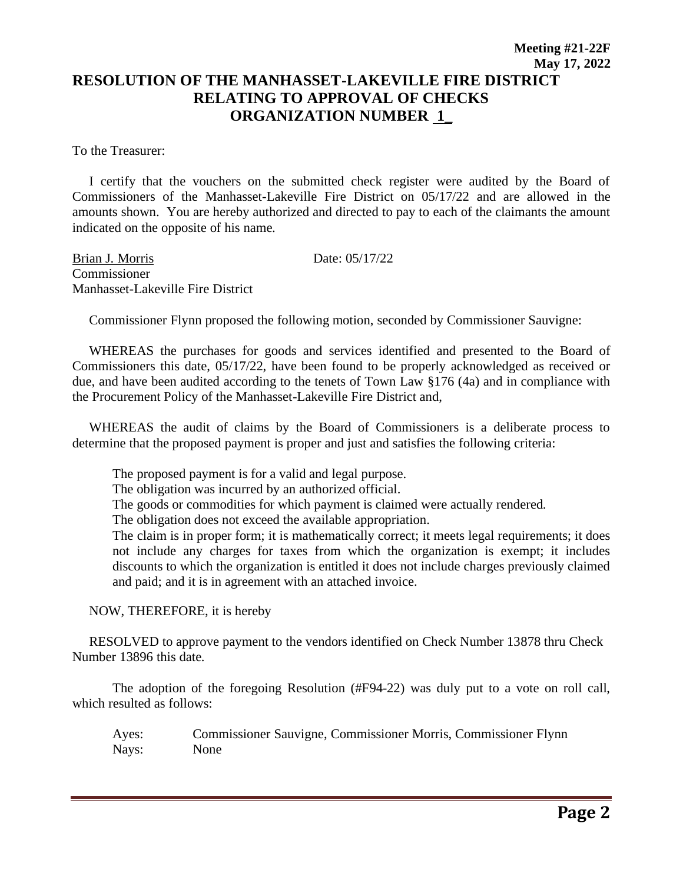## **Meeting #21-22F May 17, 2022 RESOLUTION OF THE MANHASSET-LAKEVILLE FIRE DISTRICT RELATING TO APPROVAL OF CHECKS ORGANIZATION NUMBER 1\_**

To the Treasurer:

 I certify that the vouchers on the submitted check register were audited by the Board of Commissioners of the Manhasset-Lakeville Fire District on 05/17/22 and are allowed in the amounts shown. You are hereby authorized and directed to pay to each of the claimants the amount indicated on the opposite of his name.

Brian J. Morris Date: 05/17/22 Commissioner Manhasset-Lakeville Fire District

Commissioner Flynn proposed the following motion, seconded by Commissioner Sauvigne:

 WHEREAS the purchases for goods and services identified and presented to the Board of Commissioners this date, 05/17/22, have been found to be properly acknowledged as received or due, and have been audited according to the tenets of Town Law §176 (4a) and in compliance with the Procurement Policy of the Manhasset-Lakeville Fire District and,

 WHEREAS the audit of claims by the Board of Commissioners is a deliberate process to determine that the proposed payment is proper and just and satisfies the following criteria:

The proposed payment is for a valid and legal purpose.

The obligation was incurred by an authorized official.

The goods or commodities for which payment is claimed were actually rendered.

The obligation does not exceed the available appropriation.

The claim is in proper form; it is mathematically correct; it meets legal requirements; it does not include any charges for taxes from which the organization is exempt; it includes discounts to which the organization is entitled it does not include charges previously claimed and paid; and it is in agreement with an attached invoice.

NOW, THEREFORE, it is hereby

 RESOLVED to approve payment to the vendors identified on Check Number 13878 thru Check Number 13896 this date.

The adoption of the foregoing Resolution (#F94-22) was duly put to a vote on roll call, which resulted as follows:

Ayes: Commissioner Sauvigne, Commissioner Morris, Commissioner Flynn Nays: None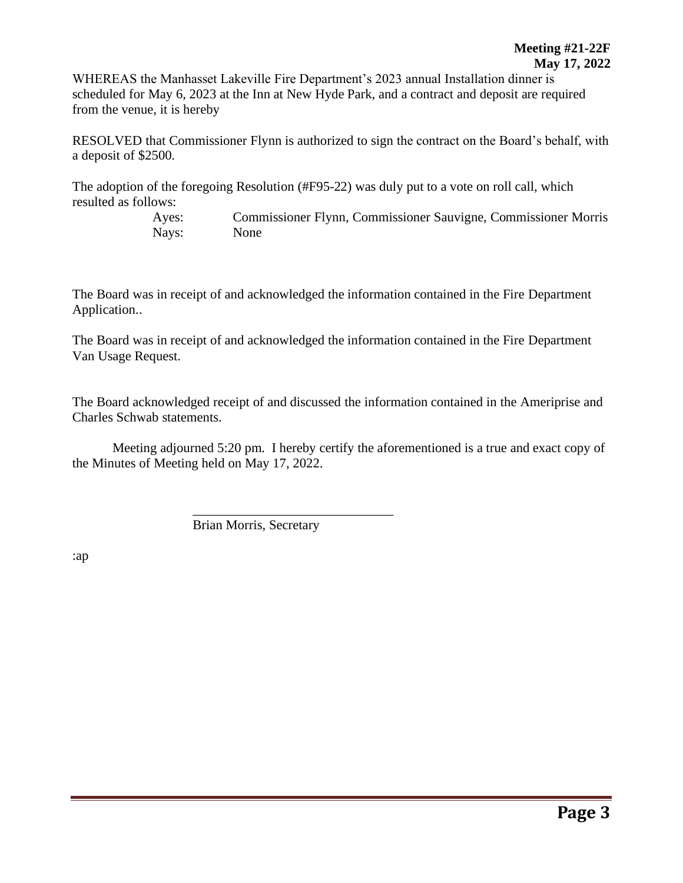WHEREAS the Manhasset Lakeville Fire Department's 2023 annual Installation dinner is scheduled for May 6, 2023 at the Inn at New Hyde Park, and a contract and deposit are required from the venue, it is hereby

RESOLVED that Commissioner Flynn is authorized to sign the contract on the Board's behalf, with a deposit of \$2500.

The adoption of the foregoing Resolution (#F95-22) was duly put to a vote on roll call, which resulted as follows:

> Ayes: Commissioner Flynn, Commissioner Sauvigne, Commissioner Morris Nays: None

The Board was in receipt of and acknowledged the information contained in the Fire Department Application..

The Board was in receipt of and acknowledged the information contained in the Fire Department Van Usage Request.

The Board acknowledged receipt of and discussed the information contained in the Ameriprise and Charles Schwab statements.

Meeting adjourned 5:20 pm. I hereby certify the aforementioned is a true and exact copy of the Minutes of Meeting held on May 17, 2022.

Brian Morris, Secretary

\_\_\_\_\_\_\_\_\_\_\_\_\_\_\_\_\_\_\_\_\_\_\_\_\_\_\_\_\_\_

:ap